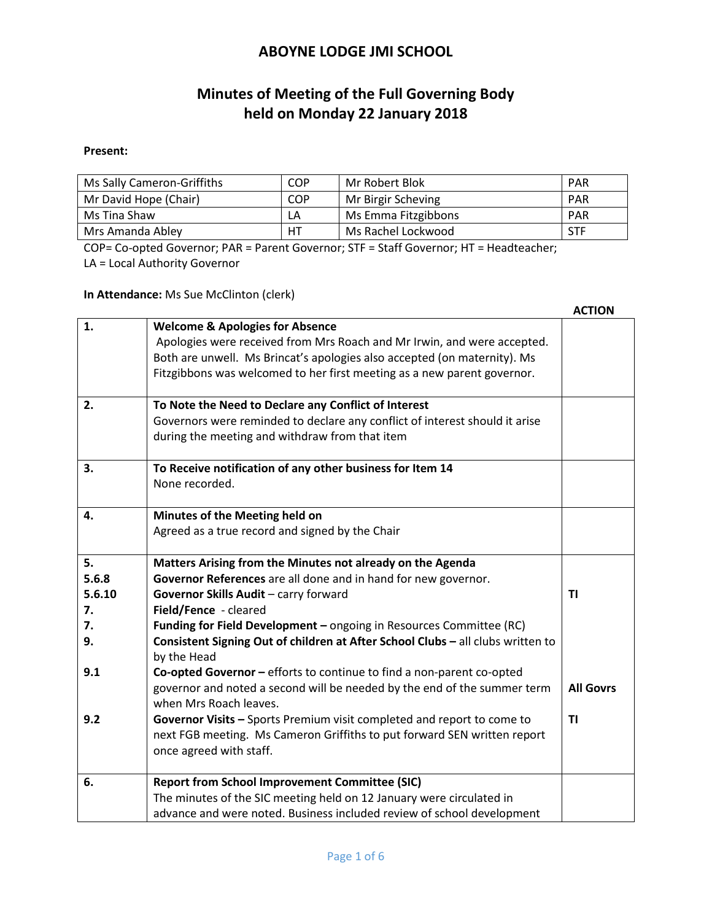# **Minutes of Meeting of the Full Governing Body held on Monday 22 January 2018**

#### **Present:**

| Ms Sally Cameron-Griffiths | <b>COP</b> | Mr Robert Blok      | <b>PAR</b> |
|----------------------------|------------|---------------------|------------|
| Mr David Hope (Chair)      | <b>COP</b> | Mr Birgir Scheving  | <b>PAR</b> |
| Ms Tina Shaw               | LA         | Ms Emma Fitzgibbons | <b>PAR</b> |
| Mrs Amanda Abley           | HТ         | Ms Rachel Lockwood  | <b>STF</b> |

COP= Co-opted Governor; PAR = Parent Governor; STF = Staff Governor; HT = Headteacher; LA = Local Authority Governor

**In Attendance:** Ms Sue McClinton (clerk)

|        |                                                                                                                                                   | <b>ACTION</b>    |
|--------|---------------------------------------------------------------------------------------------------------------------------------------------------|------------------|
| 1.     | <b>Welcome &amp; Apologies for Absence</b>                                                                                                        |                  |
|        | Apologies were received from Mrs Roach and Mr Irwin, and were accepted.                                                                           |                  |
|        | Both are unwell. Ms Brincat's apologies also accepted (on maternity). Ms                                                                          |                  |
|        | Fitzgibbons was welcomed to her first meeting as a new parent governor.                                                                           |                  |
|        |                                                                                                                                                   |                  |
| 2.     | To Note the Need to Declare any Conflict of Interest                                                                                              |                  |
|        | Governors were reminded to declare any conflict of interest should it arise                                                                       |                  |
|        | during the meeting and withdraw from that item                                                                                                    |                  |
| 3.     | To Receive notification of any other business for Item 14                                                                                         |                  |
|        | None recorded.                                                                                                                                    |                  |
| 4.     | Minutes of the Meeting held on                                                                                                                    |                  |
|        | Agreed as a true record and signed by the Chair                                                                                                   |                  |
| 5.     | Matters Arising from the Minutes not already on the Agenda                                                                                        |                  |
| 5.6.8  | Governor References are all done and in hand for new governor.                                                                                    |                  |
| 5.6.10 | Governor Skills Audit - carry forward                                                                                                             | <b>TI</b>        |
| 7.     | Field/Fence - cleared                                                                                                                             |                  |
| 7.     | <b>Funding for Field Development - ongoing in Resources Committee (RC)</b>                                                                        |                  |
| 9.     | Consistent Signing Out of children at After School Clubs - all clubs written to<br>by the Head                                                    |                  |
|        |                                                                                                                                                   |                  |
| 9.1    | Co-opted Governor - efforts to continue to find a non-parent co-opted<br>governor and noted a second will be needed by the end of the summer term | <b>All Govrs</b> |
|        | when Mrs Roach leaves.                                                                                                                            |                  |
| 9.2    |                                                                                                                                                   | TI               |
|        | Governor Visits - Sports Premium visit completed and report to come to                                                                            |                  |
|        | next FGB meeting. Ms Cameron Griffiths to put forward SEN written report                                                                          |                  |
|        | once agreed with staff.                                                                                                                           |                  |
| 6.     | <b>Report from School Improvement Committee (SIC)</b>                                                                                             |                  |
|        | The minutes of the SIC meeting held on 12 January were circulated in                                                                              |                  |
|        | advance and were noted. Business included review of school development                                                                            |                  |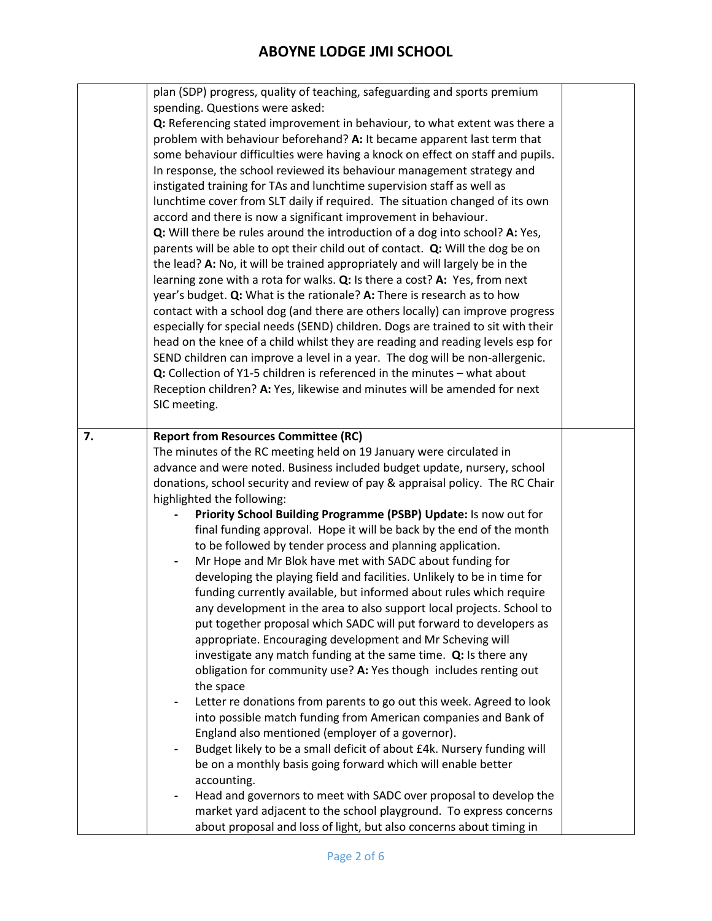|    | plan (SDP) progress, quality of teaching, safeguarding and sports premium<br>spending. Questions were asked:<br>Q: Referencing stated improvement in behaviour, to what extent was there a<br>problem with behaviour beforehand? A: It became apparent last term that<br>some behaviour difficulties were having a knock on effect on staff and pupils.<br>In response, the school reviewed its behaviour management strategy and<br>instigated training for TAs and lunchtime supervision staff as well as<br>lunchtime cover from SLT daily if required. The situation changed of its own<br>accord and there is now a significant improvement in behaviour.<br>Q: Will there be rules around the introduction of a dog into school? A: Yes,<br>parents will be able to opt their child out of contact. Q: Will the dog be on<br>the lead? A: No, it will be trained appropriately and will largely be in the<br>learning zone with a rota for walks. Q: Is there a cost? A: Yes, from next<br>year's budget. Q: What is the rationale? A: There is research as to how<br>contact with a school dog (and there are others locally) can improve progress<br>especially for special needs (SEND) children. Dogs are trained to sit with their<br>head on the knee of a child whilst they are reading and reading levels esp for<br>SEND children can improve a level in a year. The dog will be non-allergenic.<br>Q: Collection of Y1-5 children is referenced in the minutes - what about<br>Reception children? A: Yes, likewise and minutes will be amended for next<br>SIC meeting.                                                                                                                                                |  |
|----|-----------------------------------------------------------------------------------------------------------------------------------------------------------------------------------------------------------------------------------------------------------------------------------------------------------------------------------------------------------------------------------------------------------------------------------------------------------------------------------------------------------------------------------------------------------------------------------------------------------------------------------------------------------------------------------------------------------------------------------------------------------------------------------------------------------------------------------------------------------------------------------------------------------------------------------------------------------------------------------------------------------------------------------------------------------------------------------------------------------------------------------------------------------------------------------------------------------------------------------------------------------------------------------------------------------------------------------------------------------------------------------------------------------------------------------------------------------------------------------------------------------------------------------------------------------------------------------------------------------------------------------------------------------------------------------------------------------------------------------------|--|
| 7. | <b>Report from Resources Committee (RC)</b><br>The minutes of the RC meeting held on 19 January were circulated in<br>advance and were noted. Business included budget update, nursery, school<br>donations, school security and review of pay & appraisal policy. The RC Chair<br>highlighted the following:<br>Priority School Building Programme (PSBP) Update: Is now out for<br>final funding approval. Hope it will be back by the end of the month<br>to be followed by tender process and planning application.<br>Mr Hope and Mr Blok have met with SADC about funding for<br>$\overline{\phantom{a}}$<br>developing the playing field and facilities. Unlikely to be in time for<br>funding currently available, but informed about rules which require<br>any development in the area to also support local projects. School to<br>put together proposal which SADC will put forward to developers as<br>appropriate. Encouraging development and Mr Scheving will<br>investigate any match funding at the same time. Q: Is there any<br>obligation for community use? A: Yes though includes renting out<br>the space<br>Letter re donations from parents to go out this week. Agreed to look<br>$\overline{\phantom{a}}$<br>into possible match funding from American companies and Bank of<br>England also mentioned (employer of a governor).<br>Budget likely to be a small deficit of about £4k. Nursery funding will<br>be on a monthly basis going forward which will enable better<br>accounting.<br>Head and governors to meet with SADC over proposal to develop the<br>market yard adjacent to the school playground. To express concerns<br>about proposal and loss of light, but also concerns about timing in |  |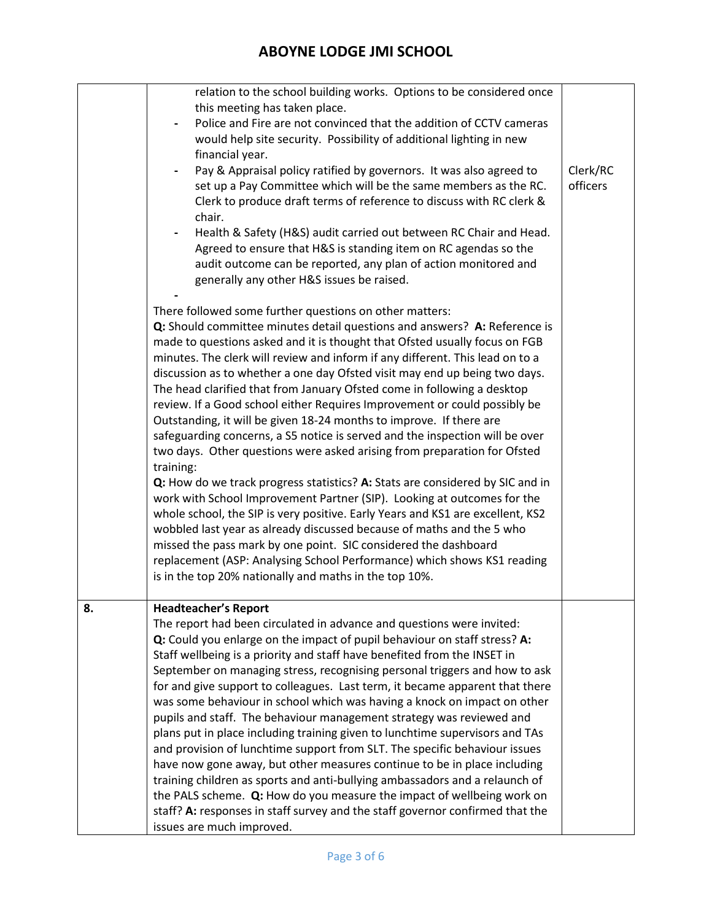|    | relation to the school building works. Options to be considered once<br>this meeting has taken place.<br>Police and Fire are not convinced that the addition of CCTV cameras<br>would help site security. Possibility of additional lighting in new                                                                                                                                                                                                                                                                                                                                                                                                                                                                                                                                                                                                                                                                                                                                                                                                                                                                                                                                                                                                                                                                      |                      |
|----|--------------------------------------------------------------------------------------------------------------------------------------------------------------------------------------------------------------------------------------------------------------------------------------------------------------------------------------------------------------------------------------------------------------------------------------------------------------------------------------------------------------------------------------------------------------------------------------------------------------------------------------------------------------------------------------------------------------------------------------------------------------------------------------------------------------------------------------------------------------------------------------------------------------------------------------------------------------------------------------------------------------------------------------------------------------------------------------------------------------------------------------------------------------------------------------------------------------------------------------------------------------------------------------------------------------------------|----------------------|
|    | financial year.<br>Pay & Appraisal policy ratified by governors. It was also agreed to<br>set up a Pay Committee which will be the same members as the RC.<br>Clerk to produce draft terms of reference to discuss with RC clerk &<br>chair.<br>Health & Safety (H&S) audit carried out between RC Chair and Head.<br>Agreed to ensure that H&S is standing item on RC agendas so the<br>audit outcome can be reported, any plan of action monitored and<br>generally any other H&S issues be raised.                                                                                                                                                                                                                                                                                                                                                                                                                                                                                                                                                                                                                                                                                                                                                                                                                    | Clerk/RC<br>officers |
|    | There followed some further questions on other matters:<br>Q: Should committee minutes detail questions and answers? A: Reference is<br>made to questions asked and it is thought that Ofsted usually focus on FGB<br>minutes. The clerk will review and inform if any different. This lead on to a<br>discussion as to whether a one day Ofsted visit may end up being two days.<br>The head clarified that from January Ofsted come in following a desktop<br>review. If a Good school either Requires Improvement or could possibly be<br>Outstanding, it will be given 18-24 months to improve. If there are<br>safeguarding concerns, a S5 notice is served and the inspection will be over<br>two days. Other questions were asked arising from preparation for Ofsted<br>training:<br>Q: How do we track progress statistics? A: Stats are considered by SIC and in<br>work with School Improvement Partner (SIP). Looking at outcomes for the<br>whole school, the SIP is very positive. Early Years and KS1 are excellent, KS2<br>wobbled last year as already discussed because of maths and the 5 who<br>missed the pass mark by one point. SIC considered the dashboard<br>replacement (ASP: Analysing School Performance) which shows KS1 reading<br>is in the top 20% nationally and maths in the top 10%. |                      |
| 8. | <b>Headteacher's Report</b><br>The report had been circulated in advance and questions were invited:<br>Q: Could you enlarge on the impact of pupil behaviour on staff stress? A:<br>Staff wellbeing is a priority and staff have benefited from the INSET in<br>September on managing stress, recognising personal triggers and how to ask<br>for and give support to colleagues. Last term, it became apparent that there<br>was some behaviour in school which was having a knock on impact on other<br>pupils and staff. The behaviour management strategy was reviewed and<br>plans put in place including training given to lunchtime supervisors and TAs<br>and provision of lunchtime support from SLT. The specific behaviour issues<br>have now gone away, but other measures continue to be in place including<br>training children as sports and anti-bullying ambassadors and a relaunch of<br>the PALS scheme. Q: How do you measure the impact of wellbeing work on<br>staff? A: responses in staff survey and the staff governor confirmed that the<br>issues are much improved.                                                                                                                                                                                                                         |                      |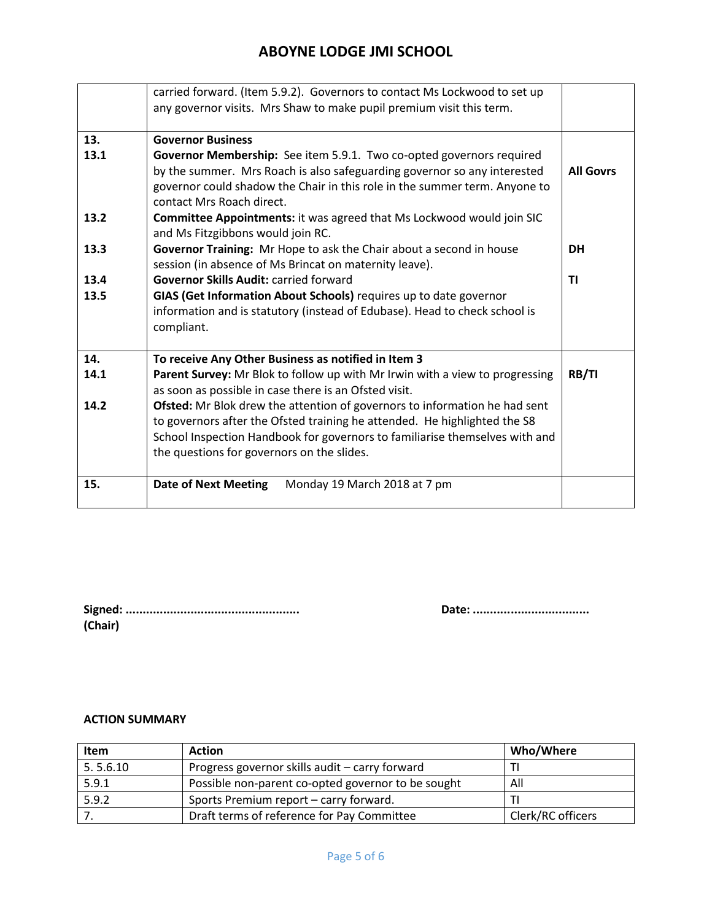|      | carried forward. (Item 5.9.2). Governors to contact Ms Lockwood to set up                                         |                  |
|------|-------------------------------------------------------------------------------------------------------------------|------------------|
|      | any governor visits. Mrs Shaw to make pupil premium visit this term.                                              |                  |
| 13.  | <b>Governor Business</b>                                                                                          |                  |
| 13.1 | Governor Membership: See item 5.9.1. Two co-opted governors required                                              |                  |
|      | by the summer. Mrs Roach is also safeguarding governor so any interested                                          | <b>All Govrs</b> |
|      | governor could shadow the Chair in this role in the summer term. Anyone to                                        |                  |
|      | contact Mrs Roach direct.                                                                                         |                  |
| 13.2 | <b>Committee Appointments:</b> it was agreed that Ms Lockwood would join SIC<br>and Ms Fitzgibbons would join RC. |                  |
| 13.3 | Governor Training: Mr Hope to ask the Chair about a second in house                                               | <b>DH</b>        |
|      | session (in absence of Ms Brincat on maternity leave).                                                            |                  |
| 13.4 | <b>Governor Skills Audit: carried forward</b>                                                                     | ΤI               |
| 13.5 | GIAS (Get Information About Schools) requires up to date governor                                                 |                  |
|      | information and is statutory (instead of Edubase). Head to check school is                                        |                  |
|      | compliant.                                                                                                        |                  |
| 14.  | To receive Any Other Business as notified in Item 3                                                               |                  |
| 14.1 | Parent Survey: Mr Blok to follow up with Mr Irwin with a view to progressing                                      | RB/TI            |
|      | as soon as possible in case there is an Ofsted visit.                                                             |                  |
| 14.2 | Ofsted: Mr Blok drew the attention of governors to information he had sent                                        |                  |
|      | to governors after the Ofsted training he attended. He highlighted the S8                                         |                  |
|      | School Inspection Handbook for governors to familiarise themselves with and                                       |                  |
|      | the questions for governors on the slides.                                                                        |                  |
| 15.  | <b>Date of Next Meeting</b><br>Monday 19 March 2018 at 7 pm                                                       |                  |
|      |                                                                                                                   |                  |

| (Chair) |  |  |  |
|---------|--|--|--|

**Signed: ................................................... Date: ..................................**

#### **ACTION SUMMARY**

| Item     | <b>Action</b>                                      | Who/Where         |
|----------|----------------------------------------------------|-------------------|
| 5.5.6.10 | Progress governor skills audit - carry forward     |                   |
| 5.9.1    | Possible non-parent co-opted governor to be sought | All               |
| 5.9.2    | Sports Premium report - carry forward.             |                   |
|          | Draft terms of reference for Pay Committee         | Clerk/RC officers |